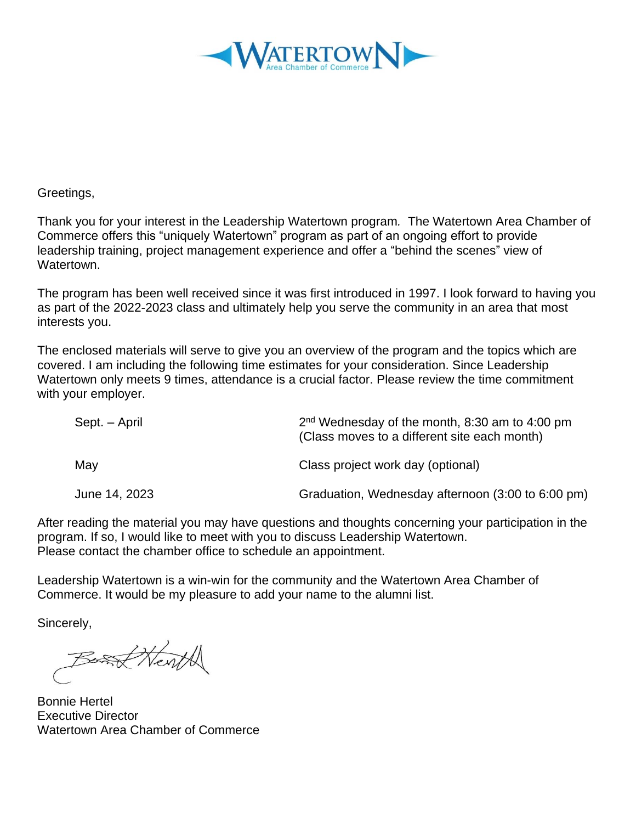

Greetings,

Thank you for your interest in the Leadership Watertown program*.* The Watertown Area Chamber of Commerce offers this "uniquely Watertown" program as part of an ongoing effort to provide leadership training, project management experience and offer a "behind the scenes" view of Watertown.

The program has been well received since it was first introduced in 1997. I look forward to having you as part of the 2022-2023 class and ultimately help you serve the community in an area that most interests you.

The enclosed materials will serve to give you an overview of the program and the topics which are covered. I am including the following time estimates for your consideration. Since Leadership Watertown only meets 9 times, attendance is a crucial factor. Please review the time commitment with your employer.

| Sept. – April | $2nd$ Wednesday of the month, 8:30 am to 4:00 pm<br>(Class moves to a different site each month) |
|---------------|--------------------------------------------------------------------------------------------------|
| May           | Class project work day (optional)                                                                |
| June 14, 2023 | Graduation, Wednesday afternoon (3:00 to 6:00 pm)                                                |

After reading the material you may have questions and thoughts concerning your participation in the program. If so, I would like to meet with you to discuss Leadership Watertown. Please contact the chamber office to schedule an appointment.

Leadership Watertown is a win-win for the community and the Watertown Area Chamber of Commerce. It would be my pleasure to add your name to the alumni list.

Sincerely,

Based Herift

Bonnie Hertel Executive Director Watertown Area Chamber of Commerce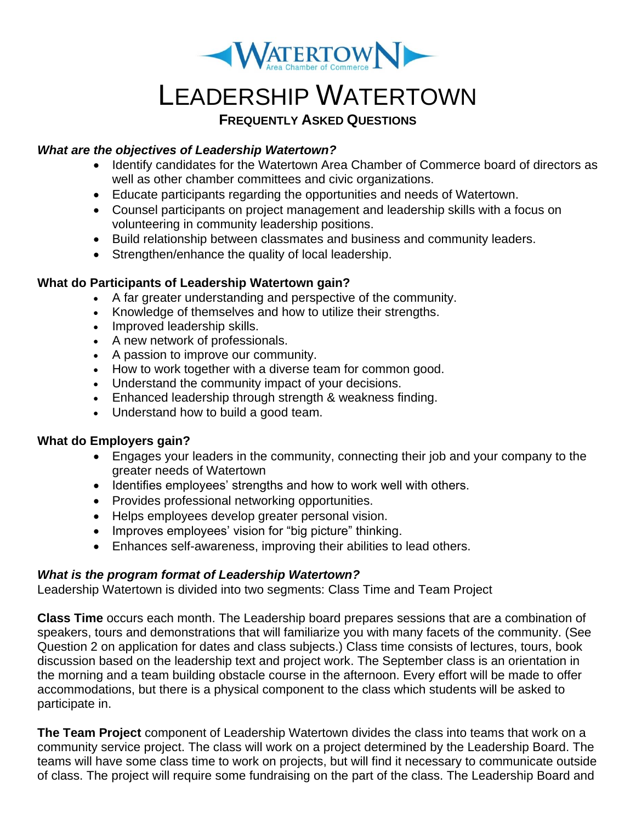

# LEADERSHIP WATERTOWN

#### **FREQUENTLY ASKED QUESTIONS**

#### *What are the objectives of Leadership Watertown?*

- Identify candidates for the Watertown Area Chamber of Commerce board of directors as well as other chamber committees and civic organizations.
- Educate participants regarding the opportunities and needs of Watertown.
- Counsel participants on project management and leadership skills with a focus on volunteering in community leadership positions.
- Build relationship between classmates and business and community leaders.
- Strengthen/enhance the quality of local leadership.

#### **What do Participants of Leadership Watertown gain?**

- A far greater understanding and perspective of the community.
- Knowledge of themselves and how to utilize their strengths.
- Improved leadership skills.
- A new network of professionals.
- A passion to improve our community.
- How to work together with a diverse team for common good.
- Understand the community impact of your decisions.
- Enhanced leadership through strength & weakness finding.
- Understand how to build a good team.

#### **What do Employers gain?**

- Engages your leaders in the community, connecting their job and your company to the greater needs of Watertown
- Identifies employees' strengths and how to work well with others.
- Provides professional networking opportunities.
- Helps employees develop greater personal vision.
- Improves employees' vision for "big picture" thinking.
- Enhances self-awareness, improving their abilities to lead others.

#### *What is the program format of Leadership Watertown?*

Leadership Watertown is divided into two segments: Class Time and Team Project

**Class Time** occurs each month. The Leadership board prepares sessions that are a combination of speakers, tours and demonstrations that will familiarize you with many facets of the community. (See Question 2 on application for dates and class subjects.) Class time consists of lectures, tours, book discussion based on the leadership text and project work. The September class is an orientation in the morning and a team building obstacle course in the afternoon. Every effort will be made to offer accommodations, but there is a physical component to the class which students will be asked to participate in.

**The Team Project** component of Leadership Watertown divides the class into teams that work on a community service project. The class will work on a project determined by the Leadership Board. The teams will have some class time to work on projects, but will find it necessary to communicate outside of class. The project will require some fundraising on the part of the class. The Leadership Board and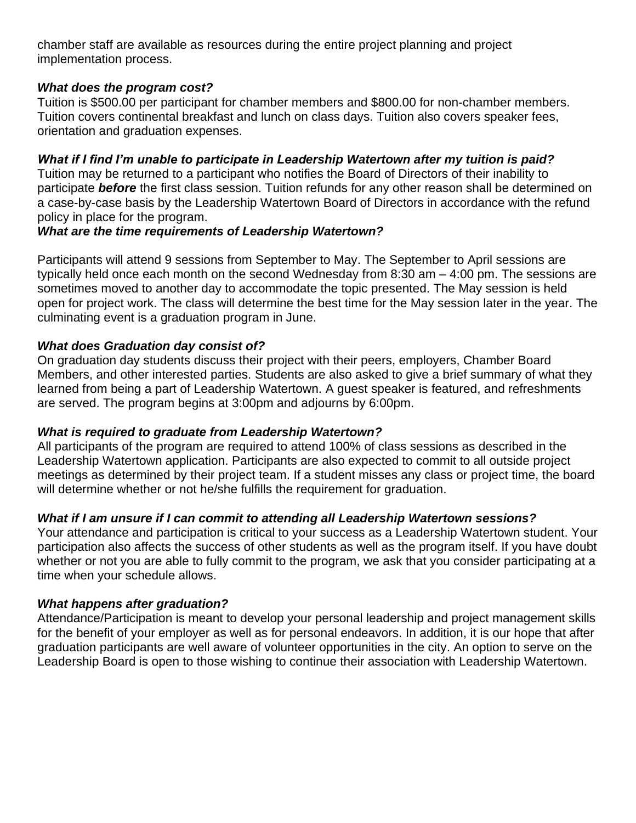chamber staff are available as resources during the entire project planning and project implementation process.

#### *What does the program cost?*

Tuition is \$500.00 per participant for chamber members and \$800.00 for non-chamber members. Tuition covers continental breakfast and lunch on class days. Tuition also covers speaker fees, orientation and graduation expenses.

#### *What if I find I'm unable to participate in Leadership Watertown after my tuition is paid?*

Tuition may be returned to a participant who notifies the Board of Directors of their inability to participate *before* the first class session. Tuition refunds for any other reason shall be determined on a case-by-case basis by the Leadership Watertown Board of Directors in accordance with the refund policy in place for the program.

#### *What are the time requirements of Leadership Watertown?*

Participants will attend 9 sessions from September to May. The September to April sessions are typically held once each month on the second Wednesday from 8:30 am – 4:00 pm. The sessions are sometimes moved to another day to accommodate the topic presented. The May session is held open for project work. The class will determine the best time for the May session later in the year. The culminating event is a graduation program in June.

#### *What does Graduation day consist of?*

On graduation day students discuss their project with their peers, employers, Chamber Board Members, and other interested parties. Students are also asked to give a brief summary of what they learned from being a part of Leadership Watertown. A guest speaker is featured, and refreshments are served. The program begins at 3:00pm and adjourns by 6:00pm.

#### *What is required to graduate from Leadership Watertown?*

All participants of the program are required to attend 100% of class sessions as described in the Leadership Watertown application. Participants are also expected to commit to all outside project meetings as determined by their project team. If a student misses any class or project time, the board will determine whether or not he/she fulfills the requirement for graduation.

#### *What if I am unsure if I can commit to attending all Leadership Watertown sessions?*

Your attendance and participation is critical to your success as a Leadership Watertown student. Your participation also affects the success of other students as well as the program itself. If you have doubt whether or not you are able to fully commit to the program, we ask that you consider participating at a time when your schedule allows.

#### *What happens after graduation?*

Attendance/Participation is meant to develop your personal leadership and project management skills for the benefit of your employer as well as for personal endeavors. In addition, it is our hope that after graduation participants are well aware of volunteer opportunities in the city. An option to serve on the Leadership Board is open to those wishing to continue their association with Leadership Watertown.